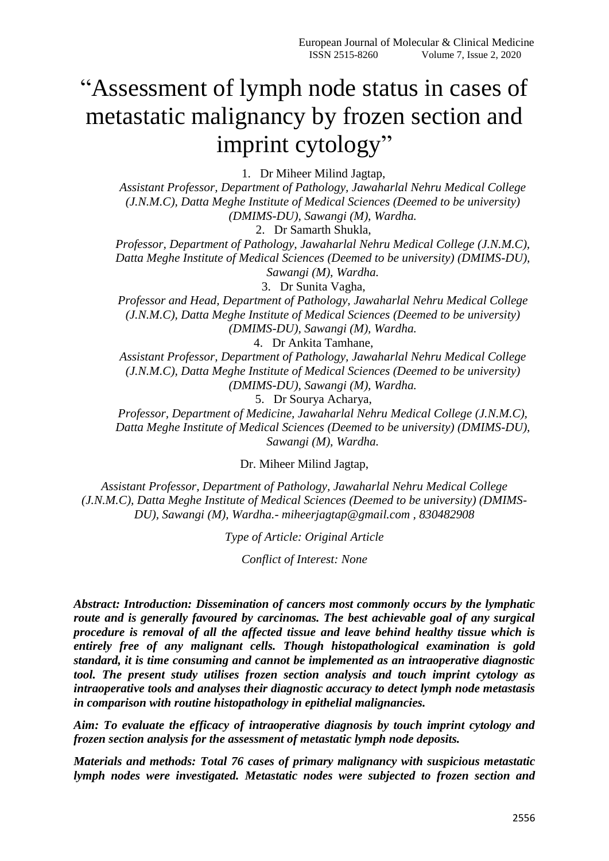# "Assessment of lymph node status in cases of metastatic malignancy by frozen section and imprint cytology"

1. Dr Miheer Milind Jagtap,

*Assistant Professor, Department of Pathology, Jawaharlal Nehru Medical College (J.N.M.C), Datta Meghe Institute of Medical Sciences (Deemed to be university) (DMIMS-DU), Sawangi (M), Wardha.*

2. Dr Samarth Shukla,

*Professor, Department of Pathology, Jawaharlal Nehru Medical College (J.N.M.C), Datta Meghe Institute of Medical Sciences (Deemed to be university) (DMIMS-DU), Sawangi (M), Wardha.*

3. Dr Sunita Vagha,

*Professor and Head, Department of Pathology, Jawaharlal Nehru Medical College (J.N.M.C), Datta Meghe Institute of Medical Sciences (Deemed to be university) (DMIMS-DU), Sawangi (M), Wardha.*

4. Dr Ankita Tamhane,

*Assistant Professor, Department of Pathology, Jawaharlal Nehru Medical College (J.N.M.C), Datta Meghe Institute of Medical Sciences (Deemed to be university) (DMIMS-DU), Sawangi (M), Wardha.*

5. Dr Sourya Acharya,

*Professor, Department of Medicine, Jawaharlal Nehru Medical College (J.N.M.C), Datta Meghe Institute of Medical Sciences (Deemed to be university) (DMIMS-DU), Sawangi (M), Wardha.*

Dr. Miheer Milind Jagtap,

*Assistant Professor, Department of Pathology, Jawaharlal Nehru Medical College (J.N.M.C), Datta Meghe Institute of Medical Sciences (Deemed to be university) (DMIMS-DU), Sawangi (M), Wardha.- miheerjagtap@gmail.com , 830482908*

*Type of Article: Original Article*

*Conflict of Interest: None*

*Abstract: Introduction: Dissemination of cancers most commonly occurs by the lymphatic route and is generally favoured by carcinomas. The best achievable goal of any surgical procedure is removal of all the affected tissue and leave behind healthy tissue which is entirely free of any malignant cells. Though histopathological examination is gold standard, it is time consuming and cannot be implemented as an intraoperative diagnostic tool. The present study utilises frozen section analysis and touch imprint cytology as intraoperative tools and analyses their diagnostic accuracy to detect lymph node metastasis in comparison with routine histopathology in epithelial malignancies.*

*Aim: To evaluate the efficacy of intraoperative diagnosis by touch imprint cytology and frozen section analysis for the assessment of metastatic lymph node deposits.*

*Materials and methods: Total 76 cases of primary malignancy with suspicious metastatic lymph nodes were investigated. Metastatic nodes were subjected to frozen section and*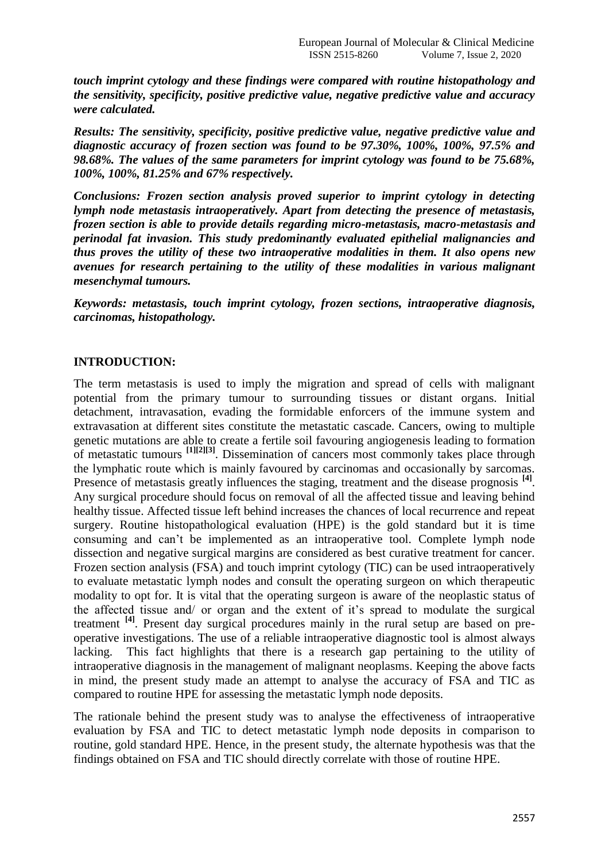*touch imprint cytology and these findings were compared with routine histopathology and the sensitivity, specificity, positive predictive value, negative predictive value and accuracy were calculated.*

*Results: The sensitivity, specificity, positive predictive value, negative predictive value and diagnostic accuracy of frozen section was found to be 97.30%, 100%, 100%, 97.5% and 98.68%. The values of the same parameters for imprint cytology was found to be 75.68%, 100%, 100%, 81.25% and 67% respectively.*

*Conclusions: Frozen section analysis proved superior to imprint cytology in detecting lymph node metastasis intraoperatively. Apart from detecting the presence of metastasis, frozen section is able to provide details regarding micro-metastasis, macro-metastasis and perinodal fat invasion. This study predominantly evaluated epithelial malignancies and thus proves the utility of these two intraoperative modalities in them. It also opens new avenues for research pertaining to the utility of these modalities in various malignant mesenchymal tumours.*

*Keywords: metastasis, touch imprint cytology, frozen sections, intraoperative diagnosis, carcinomas, histopathology.*

#### **INTRODUCTION:**

The term metastasis is used to imply the migration and spread of cells with malignant potential from the primary tumour to surrounding tissues or distant organs. Initial detachment, intravasation, evading the formidable enforcers of the immune system and extravasation at different sites constitute the metastatic cascade. Cancers, owing to multiple genetic mutations are able to create a fertile soil favouring angiogenesis leading to formation of metastatic tumours **[1][2][3]** . Dissemination of cancers most commonly takes place through the lymphatic route which is mainly favoured by carcinomas and occasionally by sarcomas. Presence of metastasis greatly influences the staging, treatment and the disease prognosis <sup>[4]</sup>. Any surgical procedure should focus on removal of all the affected tissue and leaving behind healthy tissue. Affected tissue left behind increases the chances of local recurrence and repeat surgery. Routine histopathological evaluation (HPE) is the gold standard but it is time consuming and can't be implemented as an intraoperative tool. Complete lymph node dissection and negative surgical margins are considered as best curative treatment for cancer. Frozen section analysis (FSA) and touch imprint cytology (TIC) can be used intraoperatively to evaluate metastatic lymph nodes and consult the operating surgeon on which therapeutic modality to opt for. It is vital that the operating surgeon is aware of the neoplastic status of the affected tissue and/ or organ and the extent of it's spread to modulate the surgical treatment <sup>[4]</sup>. Present day surgical procedures mainly in the rural setup are based on preoperative investigations. The use of a reliable intraoperative diagnostic tool is almost always lacking. This fact highlights that there is a research gap pertaining to the utility of intraoperative diagnosis in the management of malignant neoplasms. Keeping the above facts in mind, the present study made an attempt to analyse the accuracy of FSA and TIC as compared to routine HPE for assessing the metastatic lymph node deposits.

The rationale behind the present study was to analyse the effectiveness of intraoperative evaluation by FSA and TIC to detect metastatic lymph node deposits in comparison to routine, gold standard HPE. Hence, in the present study, the alternate hypothesis was that the findings obtained on FSA and TIC should directly correlate with those of routine HPE.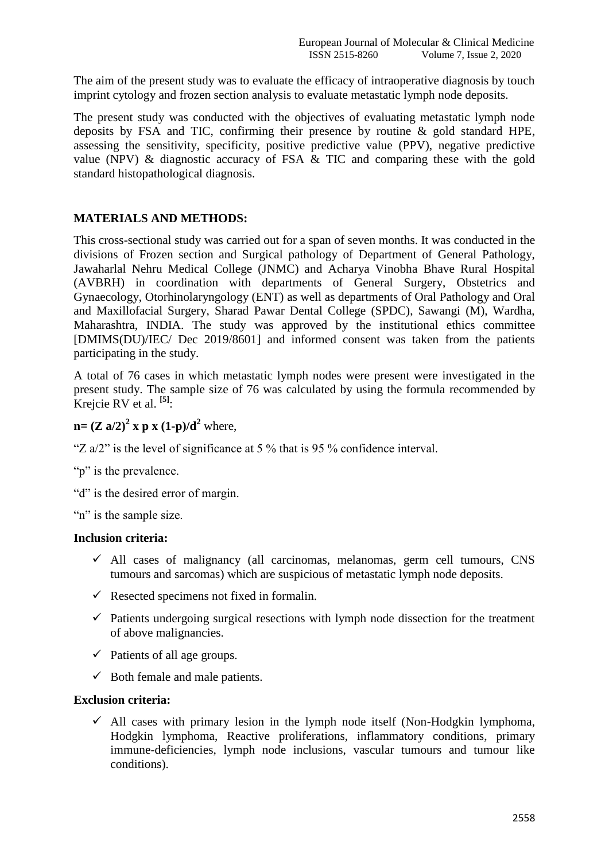The aim of the present study was to evaluate the efficacy of intraoperative diagnosis by touch imprint cytology and frozen section analysis to evaluate metastatic lymph node deposits.

The present study was conducted with the objectives of evaluating metastatic lymph node deposits by FSA and TIC, confirming their presence by routine & gold standard HPE, assessing the sensitivity, specificity, positive predictive value (PPV), negative predictive value (NPV) & diagnostic accuracy of FSA & TIC and comparing these with the gold standard histopathological diagnosis.

## **MATERIALS AND METHODS:**

This cross-sectional study was carried out for a span of seven months. It was conducted in the divisions of Frozen section and Surgical pathology of Department of General Pathology, Jawaharlal Nehru Medical College (JNMC) and Acharya Vinobha Bhave Rural Hospital (AVBRH) in coordination with departments of General Surgery, Obstetrics and Gynaecology, Otorhinolaryngology (ENT) as well as departments of Oral Pathology and Oral and Maxillofacial Surgery, Sharad Pawar Dental College (SPDC), Sawangi (M), Wardha, Maharashtra, INDIA. The study was approved by the institutional ethics committee [DMIMS(DU)/IEC/ Dec 2019/8601] and informed consent was taken from the patients participating in the study.

A total of 76 cases in which metastatic lymph nodes were present were investigated in the present study. The sample size of 76 was calculated by using the formula recommended by Krejcie RV et al. **[5]** :

## **n**=  $(Z \text{ a}/2)^2$  **x p x**  $(1-p)/d^2$  where,

"Z  $a/2$ " is the level of significance at 5 % that is 95 % confidence interval.

"p" is the prevalence.

"d" is the desired error of margin.

"n" is the sample size.

#### **Inclusion criteria:**

- $\checkmark$  All cases of malignancy (all carcinomas, melanomas, germ cell tumours, CNS tumours and sarcomas) which are suspicious of metastatic lymph node deposits.
- $\checkmark$  Resected specimens not fixed in formalin.
- $\checkmark$  Patients undergoing surgical resections with lymph node dissection for the treatment of above malignancies.
- $\checkmark$  Patients of all age groups.
- $\checkmark$  Both female and male patients.

#### **Exclusion criteria:**

 $\checkmark$  All cases with primary lesion in the lymph node itself (Non-Hodgkin lymphoma, Hodgkin lymphoma, Reactive proliferations, inflammatory conditions, primary immune-deficiencies, lymph node inclusions, vascular tumours and tumour like conditions).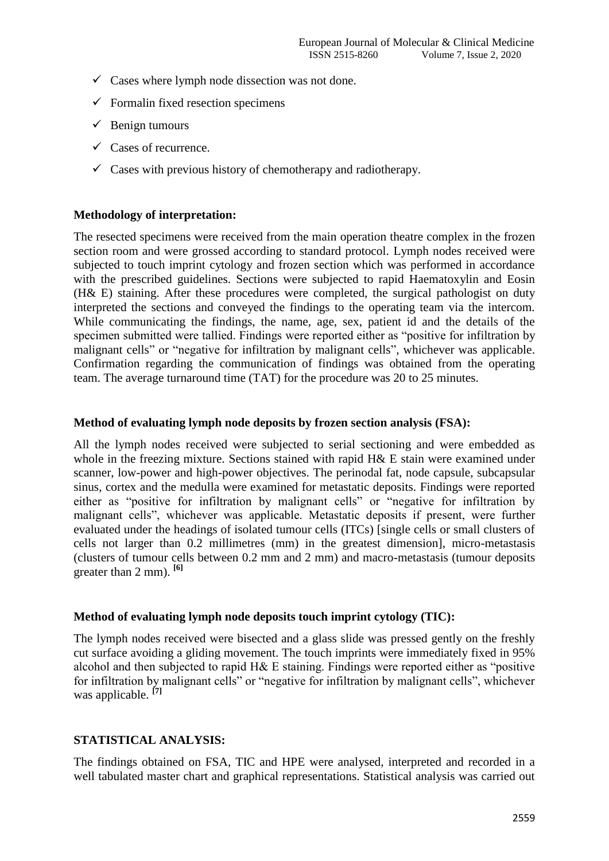- $\checkmark$  Cases where lymph node dissection was not done.
- $\checkmark$  Formalin fixed resection specimens
- $\checkmark$  Benign tumours
- $\checkmark$  Cases of recurrence.
- $\checkmark$  Cases with previous history of chemotherapy and radiotherapy.

#### **Methodology of interpretation:**

The resected specimens were received from the main operation theatre complex in the frozen section room and were grossed according to standard protocol. Lymph nodes received were subjected to touch imprint cytology and frozen section which was performed in accordance with the prescribed guidelines. Sections were subjected to rapid Haematoxylin and Eosin (H& E) staining. After these procedures were completed, the surgical pathologist on duty interpreted the sections and conveyed the findings to the operating team via the intercom. While communicating the findings, the name, age, sex, patient id and the details of the specimen submitted were tallied. Findings were reported either as "positive for infiltration by malignant cells" or "negative for infiltration by malignant cells", whichever was applicable. Confirmation regarding the communication of findings was obtained from the operating team. The average turnaround time (TAT) for the procedure was 20 to 25 minutes.

## **Method of evaluating lymph node deposits by frozen section analysis (FSA):**

All the lymph nodes received were subjected to serial sectioning and were embedded as whole in the freezing mixture. Sections stained with rapid H& E stain were examined under scanner, low-power and high-power objectives. The perinodal fat, node capsule, subcapsular sinus, cortex and the medulla were examined for metastatic deposits. Findings were reported either as "positive for infiltration by malignant cells" or "negative for infiltration by malignant cells", whichever was applicable. Metastatic deposits if present, were further evaluated under the headings of isolated tumour cells (ITCs) [single cells or small clusters of cells not larger than 0.2 millimetres (mm) in the greatest dimension], micro-metastasis (clusters of tumour cells between 0.2 mm and 2 mm) and macro-metastasis (tumour deposits greater than 2 mm). **[6]**

#### **Method of evaluating lymph node deposits touch imprint cytology (TIC):**

The lymph nodes received were bisected and a glass slide was pressed gently on the freshly cut surface avoiding a gliding movement. The touch imprints were immediately fixed in 95% alcohol and then subjected to rapid H& E staining. Findings were reported either as "positive for infiltration by malignant cells" or "negative for infiltration by malignant cells", whichever was applicable. **[7]**

#### **STATISTICAL ANALYSIS:**

The findings obtained on FSA, TIC and HPE were analysed, interpreted and recorded in a well tabulated master chart and graphical representations. Statistical analysis was carried out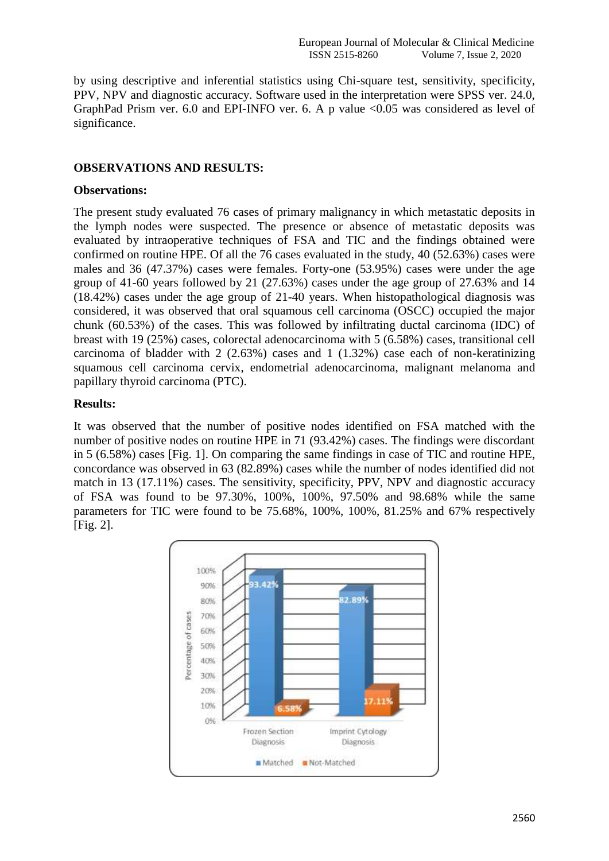by using descriptive and inferential statistics using Chi-square test, sensitivity, specificity, PPV, NPV and diagnostic accuracy. Software used in the interpretation were SPSS ver. 24.0, GraphPad Prism ver. 6.0 and EPI-INFO ver. 6. A p value  $\leq 0.05$  was considered as level of significance.

#### **OBSERVATIONS AND RESULTS:**

#### **Observations:**

The present study evaluated 76 cases of primary malignancy in which metastatic deposits in the lymph nodes were suspected. The presence or absence of metastatic deposits was evaluated by intraoperative techniques of FSA and TIC and the findings obtained were confirmed on routine HPE. Of all the 76 cases evaluated in the study, 40 (52.63%) cases were males and 36 (47.37%) cases were females. Forty-one (53.95%) cases were under the age group of 41-60 years followed by 21 (27.63%) cases under the age group of 27.63% and 14 (18.42%) cases under the age group of 21-40 years. When histopathological diagnosis was considered, it was observed that oral squamous cell carcinoma (OSCC) occupied the major chunk (60.53%) of the cases. This was followed by infiltrating ductal carcinoma (IDC) of breast with 19 (25%) cases, colorectal adenocarcinoma with 5 (6.58%) cases, transitional cell carcinoma of bladder with  $2(2.63%)$  cases and  $1(1.32%)$  case each of non-keratinizing squamous cell carcinoma cervix, endometrial adenocarcinoma, malignant melanoma and papillary thyroid carcinoma (PTC).

## **Results:**

It was observed that the number of positive nodes identified on FSA matched with the number of positive nodes on routine HPE in 71 (93.42%) cases. The findings were discordant in 5 (6.58%) cases [Fig. 1]. On comparing the same findings in case of TIC and routine HPE, concordance was observed in 63 (82.89%) cases while the number of nodes identified did not match in 13 (17.11%) cases. The sensitivity, specificity, PPV, NPV and diagnostic accuracy of FSA was found to be 97.30%, 100%, 100%, 97.50% and 98.68% while the same parameters for TIC were found to be 75.68%, 100%, 100%, 81.25% and 67% respectively [Fig. 2].

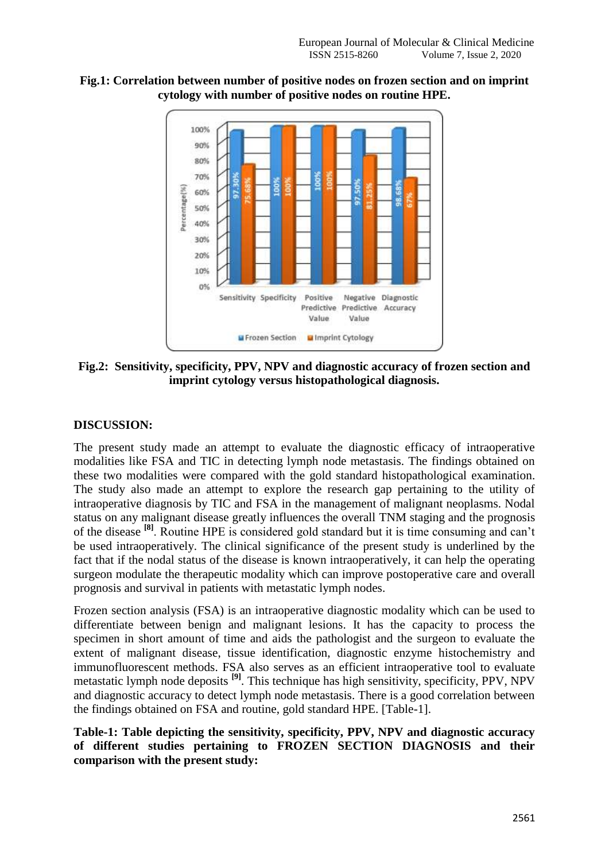

**Fig.1: Correlation between number of positive nodes on frozen section and on imprint cytology with number of positive nodes on routine HPE.**

**Fig.2: Sensitivity, specificity, PPV, NPV and diagnostic accuracy of frozen section and imprint cytology versus histopathological diagnosis.**

## **DISCUSSION:**

The present study made an attempt to evaluate the diagnostic efficacy of intraoperative modalities like FSA and TIC in detecting lymph node metastasis. The findings obtained on these two modalities were compared with the gold standard histopathological examination. The study also made an attempt to explore the research gap pertaining to the utility of intraoperative diagnosis by TIC and FSA in the management of malignant neoplasms. Nodal status on any malignant disease greatly influences the overall TNM staging and the prognosis of the disease **[8]**. Routine HPE is considered gold standard but it is time consuming and can't be used intraoperatively. The clinical significance of the present study is underlined by the fact that if the nodal status of the disease is known intraoperatively, it can help the operating surgeon modulate the therapeutic modality which can improve postoperative care and overall prognosis and survival in patients with metastatic lymph nodes.

Frozen section analysis (FSA) is an intraoperative diagnostic modality which can be used to differentiate between benign and malignant lesions. It has the capacity to process the specimen in short amount of time and aids the pathologist and the surgeon to evaluate the extent of malignant disease, tissue identification, diagnostic enzyme histochemistry and immunofluorescent methods. FSA also serves as an efficient intraoperative tool to evaluate metastatic lymph node deposits **[9]** . This technique has high sensitivity, specificity, PPV, NPV and diagnostic accuracy to detect lymph node metastasis. There is a good correlation between the findings obtained on FSA and routine, gold standard HPE. [Table-1].

## **Table-1: Table depicting the sensitivity, specificity, PPV, NPV and diagnostic accuracy of different studies pertaining to FROZEN SECTION DIAGNOSIS and their comparison with the present study:**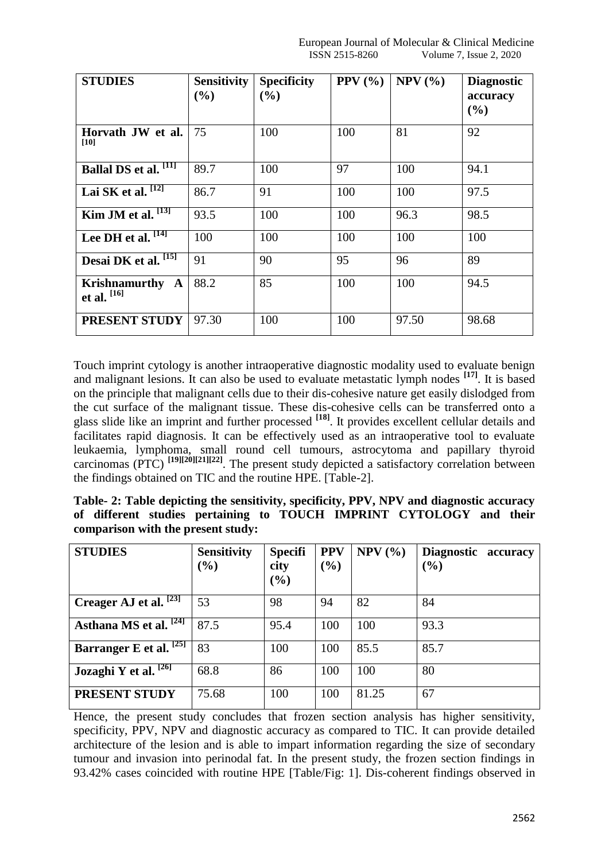| <b>STUDIES</b>                      | <b>Sensitivity</b><br>(%) | <b>Specificity</b><br>(%) | PPV $(\% )$ | $NPV$ $(\% )$ | <b>Diagnostic</b><br>accuracy<br>(%) |
|-------------------------------------|---------------------------|---------------------------|-------------|---------------|--------------------------------------|
| Horvath JW et al.<br>[10]           | 75                        | 100                       | 100         | 81            | 92                                   |
| Ballal DS et al. [11]               | 89.7                      | 100                       | 97          | 100           | 94.1                                 |
| Lai SK et al. $[12]$                | 86.7                      | 91                        | 100         | 100           | 97.5                                 |
| Kim JM et al. <sup>[13]</sup>       | 93.5                      | 100                       | 100         | 96.3          | 98.5                                 |
| Lee DH et al. $[14]$                | 100                       | 100                       | 100         | 100           | 100                                  |
| Desai DK et al. [15]                | 91                        | 90                        | 95          | 96            | 89                                   |
| Krishnamurthy A<br>et al. $^{[16]}$ | 88.2                      | 85                        | 100         | 100           | 94.5                                 |
| PRESENT STUDY                       | 97.30                     | 100                       | 100         | 97.50         | 98.68                                |

Touch imprint cytology is another intraoperative diagnostic modality used to evaluate benign and malignant lesions. It can also be used to evaluate metastatic lymph nodes **[17]**. It is based on the principle that malignant cells due to their dis-cohesive nature get easily dislodged from the cut surface of the malignant tissue. These dis-cohesive cells can be transferred onto a glass slide like an imprint and further processed **[18]** . It provides excellent cellular details and facilitates rapid diagnosis. It can be effectively used as an intraoperative tool to evaluate leukaemia, lymphoma, small round cell tumours, astrocytoma and papillary thyroid carcinomas (PTC) **[19][20][21][22]** . The present study depicted a satisfactory correlation between the findings obtained on TIC and the routine HPE. [Table-2].

| Table- 2: Table depicting the sensitivity, specificity, PPV, NPV and diagnostic accuracy |  |  |  |  |  |  |                                                                     |  |  |
|------------------------------------------------------------------------------------------|--|--|--|--|--|--|---------------------------------------------------------------------|--|--|
|                                                                                          |  |  |  |  |  |  | of different studies pertaining to TOUCH IMPRINT CYTOLOGY and their |  |  |
| comparison with the present study:                                                       |  |  |  |  |  |  |                                                                     |  |  |

| <b>STUDIES</b>                     | <b>Sensitivity</b><br>$(\%)$ | <b>Specifi</b><br>city<br>(%) | <b>PPV</b><br>$\frac{9}{0}$ | $NPV$ (%) | <b>Diagnostic</b><br>accuracy<br>$(\%)$ |
|------------------------------------|------------------------------|-------------------------------|-----------------------------|-----------|-----------------------------------------|
| Creager AJ et al. $[23]$           | 53                           | 98                            | 94                          | 82        | 84                                      |
| Asthana MS et al. <sup>[24]</sup>  | 87.5                         | 95.4                          | 100                         | 100       | 93.3                                    |
| Barranger E et al. <sup>[25]</sup> | 83                           | 100                           | 100                         | 85.5      | 85.7                                    |
| Jozaghi Y et al. $\sqrt{26}$       | 68.8                         | 86                            | 100                         | 100       | 80                                      |
| PRESENT STUDY                      | 75.68                        | 100                           | 100                         | 81.25     | 67                                      |

Hence, the present study concludes that frozen section analysis has higher sensitivity, specificity, PPV, NPV and diagnostic accuracy as compared to TIC. It can provide detailed architecture of the lesion and is able to impart information regarding the size of secondary tumour and invasion into perinodal fat. In the present study, the frozen section findings in 93.42% cases coincided with routine HPE [Table/Fig: 1]. Dis-coherent findings observed in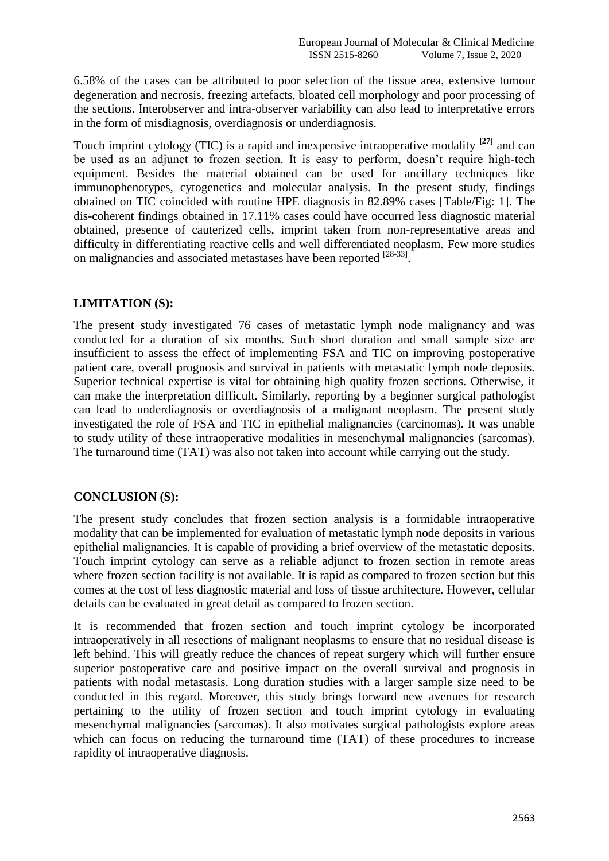6.58% of the cases can be attributed to poor selection of the tissue area, extensive tumour degeneration and necrosis, freezing artefacts, bloated cell morphology and poor processing of the sections. Interobserver and intra-observer variability can also lead to interpretative errors in the form of misdiagnosis, overdiagnosis or underdiagnosis.

Touch imprint cytology (TIC) is a rapid and inexpensive intraoperative modality **[27]** and can be used as an adjunct to frozen section. It is easy to perform, doesn't require high-tech equipment. Besides the material obtained can be used for ancillary techniques like immunophenotypes, cytogenetics and molecular analysis. In the present study, findings obtained on TIC coincided with routine HPE diagnosis in 82.89% cases [Table/Fig: 1]. The dis-coherent findings obtained in 17.11% cases could have occurred less diagnostic material obtained, presence of cauterized cells, imprint taken from non-representative areas and difficulty in differentiating reactive cells and well differentiated neoplasm. Few more studies on malignancies and associated metastases have been reported [28-33].

## **LIMITATION (S):**

The present study investigated 76 cases of metastatic lymph node malignancy and was conducted for a duration of six months. Such short duration and small sample size are insufficient to assess the effect of implementing FSA and TIC on improving postoperative patient care, overall prognosis and survival in patients with metastatic lymph node deposits. Superior technical expertise is vital for obtaining high quality frozen sections. Otherwise, it can make the interpretation difficult. Similarly, reporting by a beginner surgical pathologist can lead to underdiagnosis or overdiagnosis of a malignant neoplasm. The present study investigated the role of FSA and TIC in epithelial malignancies (carcinomas). It was unable to study utility of these intraoperative modalities in mesenchymal malignancies (sarcomas). The turnaround time (TAT) was also not taken into account while carrying out the study.

#### **CONCLUSION (S):**

The present study concludes that frozen section analysis is a formidable intraoperative modality that can be implemented for evaluation of metastatic lymph node deposits in various epithelial malignancies. It is capable of providing a brief overview of the metastatic deposits. Touch imprint cytology can serve as a reliable adjunct to frozen section in remote areas where frozen section facility is not available. It is rapid as compared to frozen section but this comes at the cost of less diagnostic material and loss of tissue architecture. However, cellular details can be evaluated in great detail as compared to frozen section.

It is recommended that frozen section and touch imprint cytology be incorporated intraoperatively in all resections of malignant neoplasms to ensure that no residual disease is left behind. This will greatly reduce the chances of repeat surgery which will further ensure superior postoperative care and positive impact on the overall survival and prognosis in patients with nodal metastasis. Long duration studies with a larger sample size need to be conducted in this regard. Moreover, this study brings forward new avenues for research pertaining to the utility of frozen section and touch imprint cytology in evaluating mesenchymal malignancies (sarcomas). It also motivates surgical pathologists explore areas which can focus on reducing the turnaround time (TAT) of these procedures to increase rapidity of intraoperative diagnosis.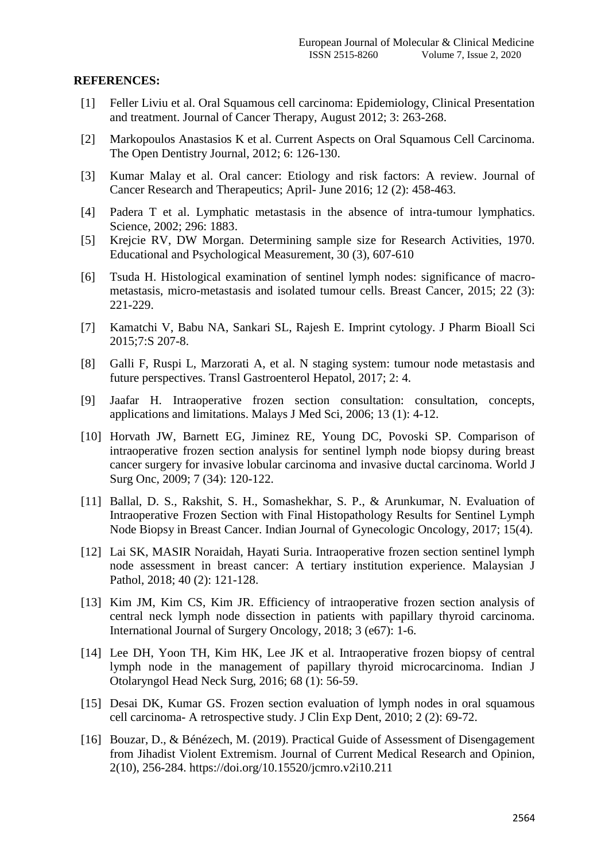#### **REFERENCES:**

- [1] Feller Liviu et al. Oral Squamous cell carcinoma: Epidemiology, Clinical Presentation and treatment. Journal of Cancer Therapy, August 2012; 3: 263-268.
- [2] Markopoulos Anastasios K et al. Current Aspects on Oral Squamous Cell Carcinoma. The Open Dentistry Journal, 2012; 6: 126-130.
- [3] Kumar Malay et al. Oral cancer: Etiology and risk factors: A review. Journal of Cancer Research and Therapeutics; April- June 2016; 12 (2): 458-463.
- [4] Padera T et al. Lymphatic metastasis in the absence of intra-tumour lymphatics. Science, 2002; 296: 1883.
- [5] Krejcie RV, DW Morgan. Determining sample size for Research Activities, 1970. Educational and Psychological Measurement, 30 (3), 607-610
- [6] Tsuda H. Histological examination of sentinel lymph nodes: significance of macrometastasis, micro-metastasis and isolated tumour cells. Breast Cancer, 2015; 22 (3): 221-229.
- [7] Kamatchi V, Babu NA, Sankari SL, Rajesh E. Imprint cytology. J Pharm Bioall Sci 2015;7:S 207-8.
- [8] Galli F, Ruspi L, Marzorati A, et al. N staging system: tumour node metastasis and future perspectives. Transl Gastroenterol Hepatol, 2017; 2: 4.
- [9] Jaafar H. Intraoperative frozen section consultation: consultation, concepts, applications and limitations. Malays J Med Sci, 2006; 13 (1): 4-12.
- [10] Horvath JW, Barnett EG, Jiminez RE, Young DC, Povoski SP. Comparison of intraoperative frozen section analysis for sentinel lymph node biopsy during breast cancer surgery for invasive lobular carcinoma and invasive ductal carcinoma. World J Surg Onc, 2009; 7 (34): 120-122.
- [11] Ballal, D. S., Rakshit, S. H., Somashekhar, S. P., & Arunkumar, N. Evaluation of Intraoperative Frozen Section with Final Histopathology Results for Sentinel Lymph Node Biopsy in Breast Cancer. Indian Journal of Gynecologic Oncology, 2017; 15(4).
- [12] Lai SK, MASIR Noraidah, Hayati Suria. Intraoperative frozen section sentinel lymph node assessment in breast cancer: A tertiary institution experience. Malaysian J Pathol, 2018; 40 (2): 121-128.
- [13] Kim JM, Kim CS, Kim JR. Efficiency of intraoperative frozen section analysis of central neck lymph node dissection in patients with papillary thyroid carcinoma. International Journal of Surgery Oncology, 2018; 3 (e67): 1-6.
- [14] Lee DH, Yoon TH, Kim HK, Lee JK et al. Intraoperative frozen biopsy of central lymph node in the management of papillary thyroid microcarcinoma. Indian J Otolaryngol Head Neck Surg, 2016; 68 (1): 56-59.
- [15] Desai DK, Kumar GS. Frozen section evaluation of lymph nodes in oral squamous cell carcinoma- A retrospective study. J Clin Exp Dent, 2010; 2 (2): 69-72.
- [16] Bouzar, D., & Bénézech, M. (2019). Practical Guide of Assessment of Disengagement from Jihadist Violent Extremism. Journal of Current Medical Research and Opinion, 2(10), 256-284. https://doi.org/10.15520/jcmro.v2i10.211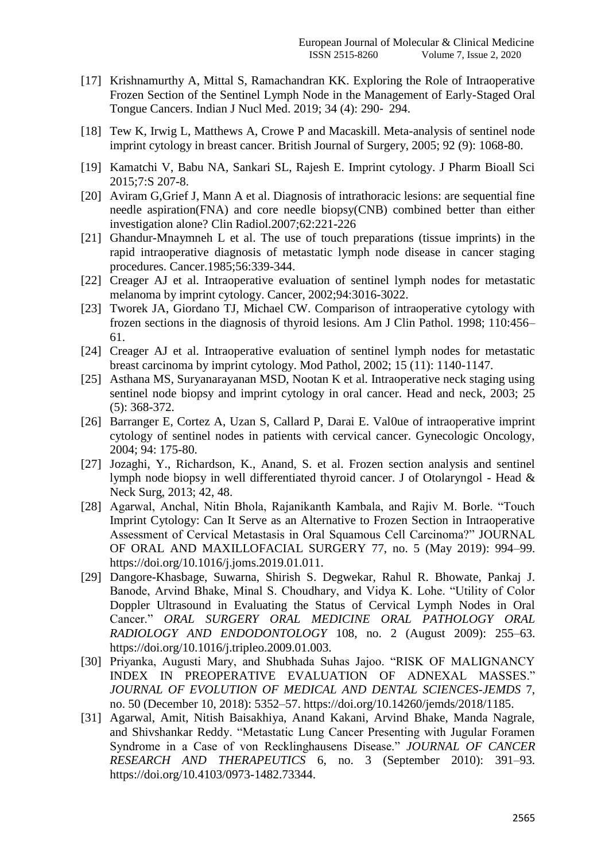- [17] Krishnamurthy A, Mittal S, Ramachandran KK. Exploring the Role of Intraoperative Frozen Section of the Sentinel Lymph Node in the Management of Early-Staged Oral Tongue Cancers. Indian J Nucl Med. 2019; 34 (4): 290‐ 294.
- [18] Tew K, Irwig L, Matthews A, Crowe P and Macaskill. Meta-analysis of sentinel node imprint cytology in breast cancer. British Journal of Surgery, 2005; 92 (9): 1068-80.
- [19] Kamatchi V, Babu NA, Sankari SL, Rajesh E. Imprint cytology. J Pharm Bioall Sci 2015;7:S 207-8.
- [20] Aviram G,Grief J, Mann A et al. Diagnosis of intrathoracic lesions: are sequential fine needle aspiration(FNA) and core needle biopsy(CNB) combined better than either investigation alone? Clin Radiol.2007;62:221-226
- [21] Ghandur-Mnaymneh L et al. The use of touch preparations (tissue imprints) in the rapid intraoperative diagnosis of metastatic lymph node disease in cancer staging procedures. Cancer.1985;56:339-344.
- [22] Creager AJ et al. Intraoperative evaluation of sentinel lymph nodes for metastatic melanoma by imprint cytology. Cancer, 2002;94:3016-3022.
- [23] Tworek JA, Giordano TJ, Michael CW. Comparison of intraoperative cytology with frozen sections in the diagnosis of thyroid lesions. Am J Clin Pathol. 1998; 110:456– 61.
- [24] Creager AJ et al. Intraoperative evaluation of sentinel lymph nodes for metastatic breast carcinoma by imprint cytology. Mod Pathol, 2002; 15 (11): 1140-1147.
- [25] Asthana MS, Suryanarayanan MSD, Nootan K et al. Intraoperative neck staging using sentinel node biopsy and imprint cytology in oral cancer. Head and neck, 2003; 25 (5): 368-372.
- [26] Barranger E, Cortez A, Uzan S, Callard P, Darai E. Val0ue of intraoperative imprint cytology of sentinel nodes in patients with cervical cancer. Gynecologic Oncology, 2004; 94: 175-80.
- [27] Jozaghi, Y., Richardson, K., Anand, S. et al. Frozen section analysis and sentinel lymph node biopsy in well differentiated thyroid cancer. J of Otolaryngol - Head & Neck Surg, 2013; 42, 48.
- [28] Agarwal, Anchal, Nitin Bhola, Rajanikanth Kambala, and Rajiv M. Borle. "Touch Imprint Cytology: Can It Serve as an Alternative to Frozen Section in Intraoperative Assessment of Cervical Metastasis in Oral Squamous Cell Carcinoma?" JOURNAL OF ORAL AND MAXILLOFACIAL SURGERY 77, no. 5 (May 2019): 994–99. https://doi.org/10.1016/j.joms.2019.01.011.
- [29] Dangore-Khasbage, Suwarna, Shirish S. Degwekar, Rahul R. Bhowate, Pankaj J. Banode, Arvind Bhake, Minal S. Choudhary, and Vidya K. Lohe. "Utility of Color Doppler Ultrasound in Evaluating the Status of Cervical Lymph Nodes in Oral Cancer." *ORAL SURGERY ORAL MEDICINE ORAL PATHOLOGY ORAL RADIOLOGY AND ENDODONTOLOGY* 108, no. 2 (August 2009): 255–63. https://doi.org/10.1016/j.tripleo.2009.01.003.
- [30] Priyanka, Augusti Mary, and Shubhada Suhas Jajoo. "RISK OF MALIGNANCY INDEX IN PREOPERATIVE EVALUATION OF ADNEXAL MASSES." *JOURNAL OF EVOLUTION OF MEDICAL AND DENTAL SCIENCES-JEMDS* 7, no. 50 (December 10, 2018): 5352–57. https://doi.org/10.14260/jemds/2018/1185.
- [31] Agarwal, Amit, Nitish Baisakhiya, Anand Kakani, Arvind Bhake, Manda Nagrale, and Shivshankar Reddy. "Metastatic Lung Cancer Presenting with Jugular Foramen Syndrome in a Case of von Recklinghausens Disease." *JOURNAL OF CANCER RESEARCH AND THERAPEUTICS* 6, no. 3 (September 2010): 391–93. https://doi.org/10.4103/0973-1482.73344.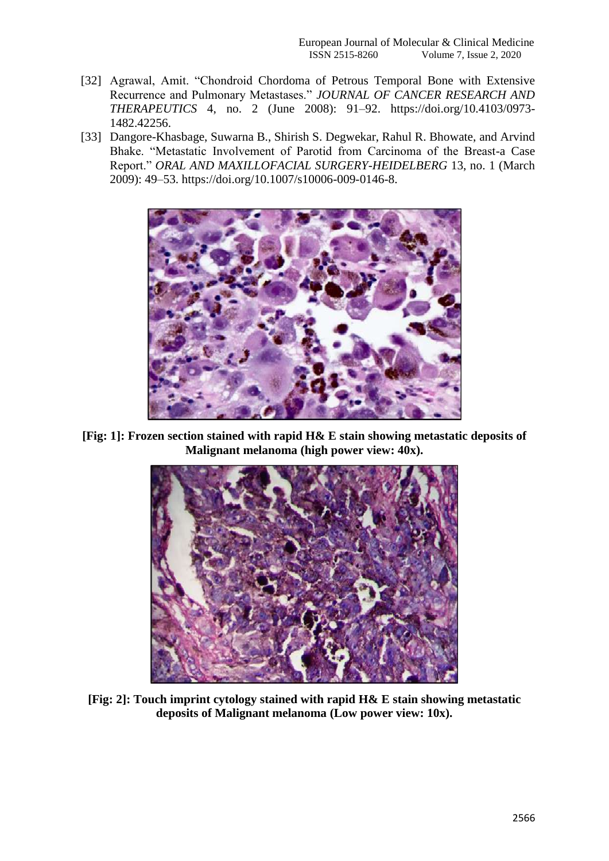- [32] Agrawal, Amit. "Chondroid Chordoma of Petrous Temporal Bone with Extensive Recurrence and Pulmonary Metastases." *JOURNAL OF CANCER RESEARCH AND THERAPEUTICS* 4, no. 2 (June 2008): 91–92. https://doi.org/10.4103/0973- 1482.42256.
- [33] Dangore-Khasbage, Suwarna B., Shirish S. Degwekar, Rahul R. Bhowate, and Arvind Bhake. "Metastatic Involvement of Parotid from Carcinoma of the Breast-a Case Report." *ORAL AND MAXILLOFACIAL SURGERY-HEIDELBERG* 13, no. 1 (March 2009): 49–53. https://doi.org/10.1007/s10006-009-0146-8.



**[Fig: 1]: Frozen section stained with rapid H& E stain showing metastatic deposits of Malignant melanoma (high power view: 40x).**



**[Fig: 2]: Touch imprint cytology stained with rapid H& E stain showing metastatic deposits of Malignant melanoma (Low power view: 10x).**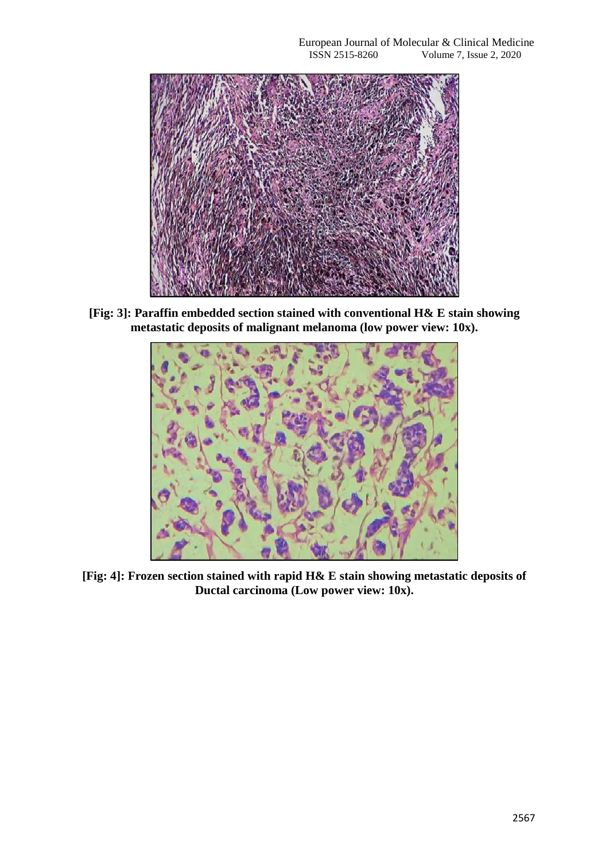

**[Fig: 3]: Paraffin embedded section stained with conventional H& E stain showing metastatic deposits of malignant melanoma (low power view: 10x).**



**[Fig: 4]: Frozen section stained with rapid H& E stain showing metastatic deposits of Ductal carcinoma (Low power view: 10x).**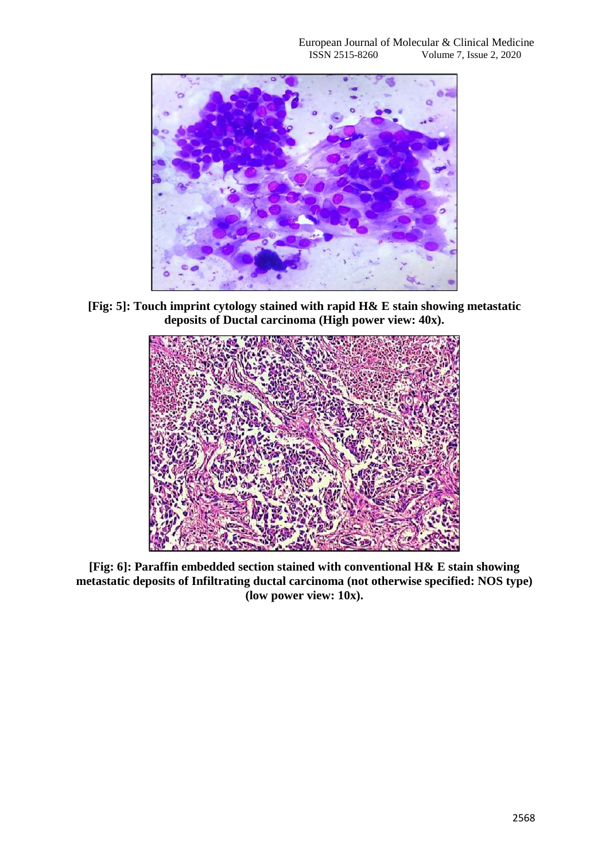

**[Fig: 5]: Touch imprint cytology stained with rapid H& E stain showing metastatic deposits of Ductal carcinoma (High power view: 40x).**



**[Fig: 6]: Paraffin embedded section stained with conventional H& E stain showing metastatic deposits of Infiltrating ductal carcinoma (not otherwise specified: NOS type) (low power view: 10x).**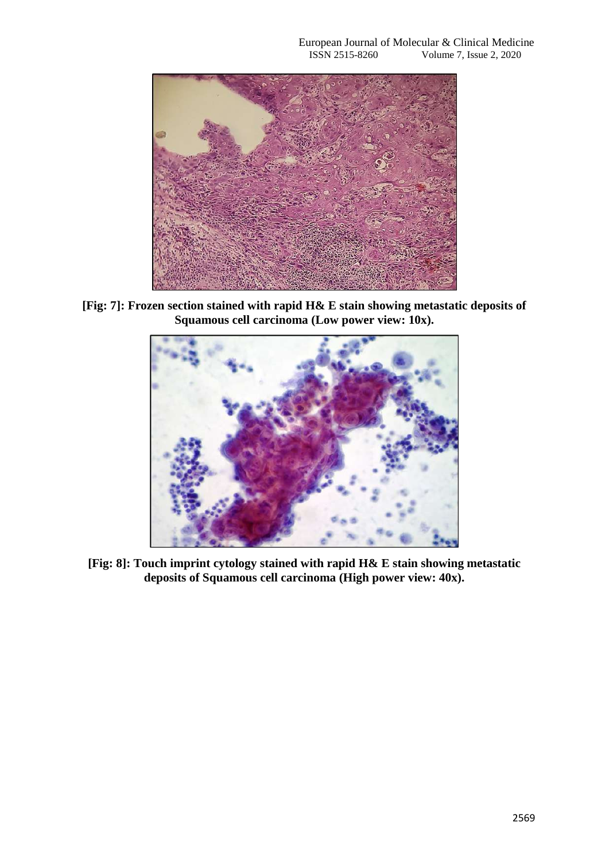

**[Fig: 7]: Frozen section stained with rapid H& E stain showing metastatic deposits of Squamous cell carcinoma (Low power view: 10x).**



**[Fig: 8]: Touch imprint cytology stained with rapid H& E stain showing metastatic deposits of Squamous cell carcinoma (High power view: 40x).**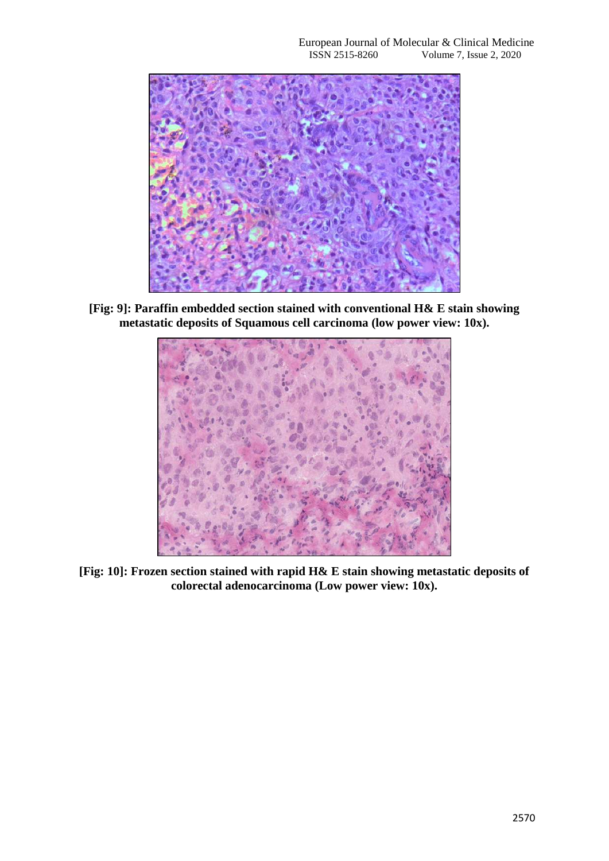

**[Fig: 9]: Paraffin embedded section stained with conventional H& E stain showing metastatic deposits of Squamous cell carcinoma (low power view: 10x).**



**[Fig: 10]: Frozen section stained with rapid H& E stain showing metastatic deposits of colorectal adenocarcinoma (Low power view: 10x).**